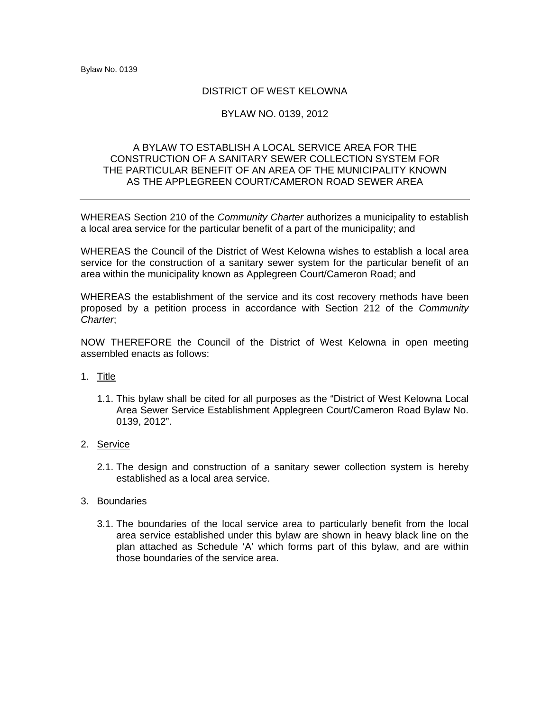## DISTRICT OF WEST KELOWNA

## BYLAW NO. 0139, 2012

## A BYLAW TO ESTABLISH A LOCAL SERVICE AREA FOR THE CONSTRUCTION OF A SANITARY SEWER COLLECTION SYSTEM FOR THE PARTICULAR BENEFIT OF AN AREA OF THE MUNICIPALITY KNOWN AS THE APPLEGREEN COURT/CAMERON ROAD SEWER AREA

WHEREAS Section 210 of the *Community Charter* authorizes a municipality to establish a local area service for the particular benefit of a part of the municipality; and

WHEREAS the Council of the District of West Kelowna wishes to establish a local area service for the construction of a sanitary sewer system for the particular benefit of an area within the municipality known as Applegreen Court/Cameron Road; and

WHEREAS the establishment of the service and its cost recovery methods have been proposed by a petition process in accordance with Section 212 of the *Community Charter*;

NOW THEREFORE the Council of the District of West Kelowna in open meeting assembled enacts as follows:

- 1. Title
	- 1.1. This bylaw shall be cited for all purposes as the "District of West Kelowna Local Area Sewer Service Establishment Applegreen Court/Cameron Road Bylaw No. 0139, 2012".
- 2. Service
	- 2.1. The design and construction of a sanitary sewer collection system is hereby established as a local area service.
- 3. Boundaries
	- 3.1. The boundaries of the local service area to particularly benefit from the local area service established under this bylaw are shown in heavy black line on the plan attached as Schedule 'A' which forms part of this bylaw, and are within those boundaries of the service area.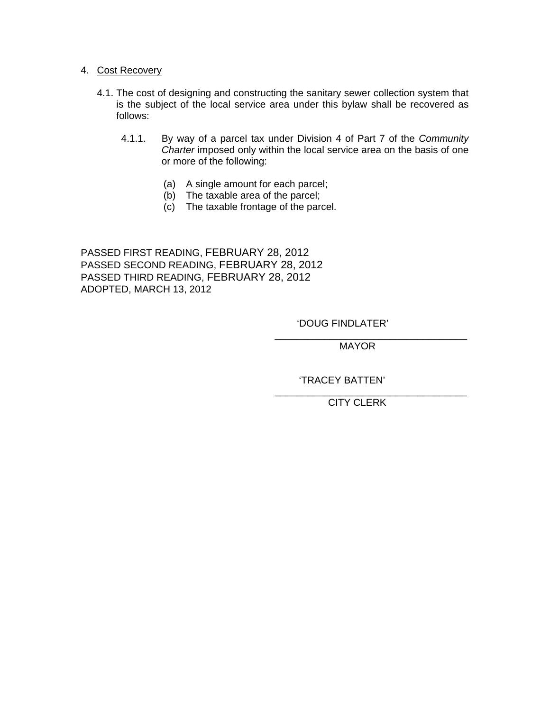## 4. Cost Recovery

- 4.1. The cost of designing and constructing the sanitary sewer collection system that is the subject of the local service area under this bylaw shall be recovered as follows:
	- 4.1.1. By way of a parcel tax under Division 4 of Part 7 of the *Community Charter* imposed only within the local service area on the basis of one or more of the following:
		- (a) A single amount for each parcel;
		- (b) The taxable area of the parcel;
		- (c) The taxable frontage of the parcel.

 $\overline{\phantom{a}}$  , which is a set of the contract of the contract of the contract of the contract of the contract of the contract of the contract of the contract of the contract of the contract of the contract of the contract

PASSED FIRST READING, FEBRUARY 28, 2012 PASSED SECOND READING, FEBRUARY 28, 2012 PASSED THIRD READING, FEBRUARY 28, 2012 ADOPTED, MARCH 13, 2012

'DOUG FINDLATER'

 $\overline{\phantom{a}}$  , which is a set of the contract of the contract of the contract of the contract of the contract of the contract of the contract of the contract of the contract of the contract of the contract of the contract MAYOR

'TRACEY BATTEN'

CITY CLERK